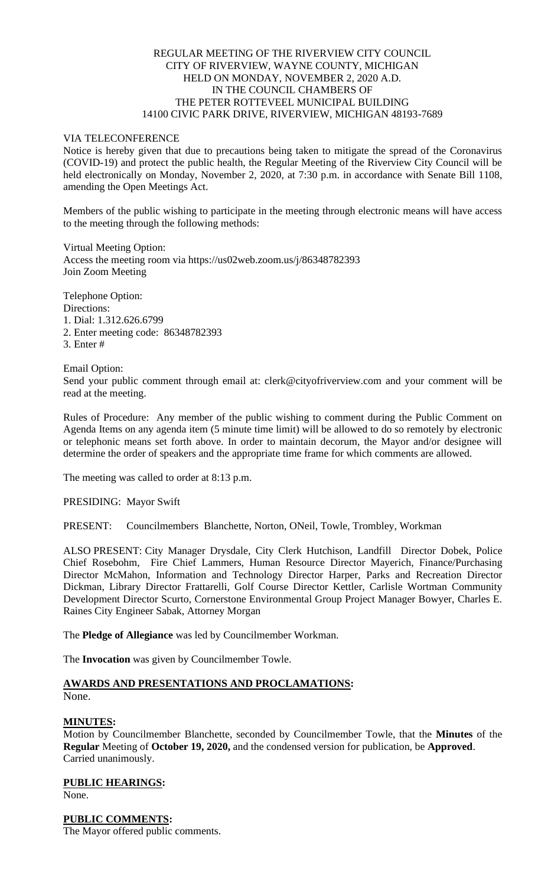## REGULAR MEETING OF THE RIVERVIEW CITY COUNCIL CITY OF RIVERVIEW, WAYNE COUNTY, MICHIGAN HELD ON MONDAY, NOVEMBER 2, 2020 A.D. IN THE COUNCIL CHAMBERS OF THE PETER ROTTEVEEL MUNICIPAL BUILDING 14100 CIVIC PARK DRIVE, RIVERVIEW, MICHIGAN 48193-7689

## VIA TELECONFERENCE

Notice is hereby given that due to precautions being taken to mitigate the spread of the Coronavirus (COVID-19) and protect the public health, the Regular Meeting of the Riverview City Council will be held electronically on Monday, November 2, 2020, at 7:30 p.m. in accordance with Senate Bill 1108, amending the Open Meetings Act.

Members of the public wishing to participate in the meeting through electronic means will have access to the meeting through the following methods:

Virtual Meeting Option: Access the meeting room via https://us02web.zoom.us/j/86348782393 Join Zoom Meeting

Telephone Option: Directions: 1. Dial: 1.312.626.6799 2. Enter meeting code: 86348782393 3. Enter #

Email Option: Send your public comment through email at: clerk@cityofriverview.com and your comment will be read at the meeting.

Rules of Procedure: Any member of the public wishing to comment during the Public Comment on Agenda Items on any agenda item (5 minute time limit) will be allowed to do so remotely by electronic or telephonic means set forth above. In order to maintain decorum, the Mayor and/or designee will determine the order of speakers and the appropriate time frame for which comments are allowed.

The meeting was called to order at 8:13 p.m.

PRESIDING: Mayor Swift

PRESENT: Councilmembers Blanchette, Norton, ONeil, Towle, Trombley, Workman

ALSO PRESENT: City Manager Drysdale, City Clerk Hutchison, Landfill Director Dobek, Police Chief Rosebohm, Fire Chief Lammers, Human Resource Director Mayerich, Finance/Purchasing Director McMahon, Information and Technology Director Harper, Parks and Recreation Director Dickman, Library Director Frattarelli, Golf Course Director Kettler, Carlisle Wortman Community Development Director Scurto, Cornerstone Environmental Group Project Manager Bowyer, Charles E. Raines City Engineer Sabak, Attorney Morgan

The **Pledge of Allegiance** was led by Councilmember Workman.

The **Invocation** was given by Councilmember Towle.

# **AWARDS AND PRESENTATIONS AND PROCLAMATIONS:**

None.

#### **MINUTES:**

Motion by Councilmember Blanchette, seconded by Councilmember Towle, that the **Minutes** of the **Regular** Meeting of **October 19, 2020,** and the condensed version for publication, be **Approved**. Carried unanimously.

**PUBLIC HEARINGS:** None.

**PUBLIC COMMENTS:**

The Mayor offered public comments.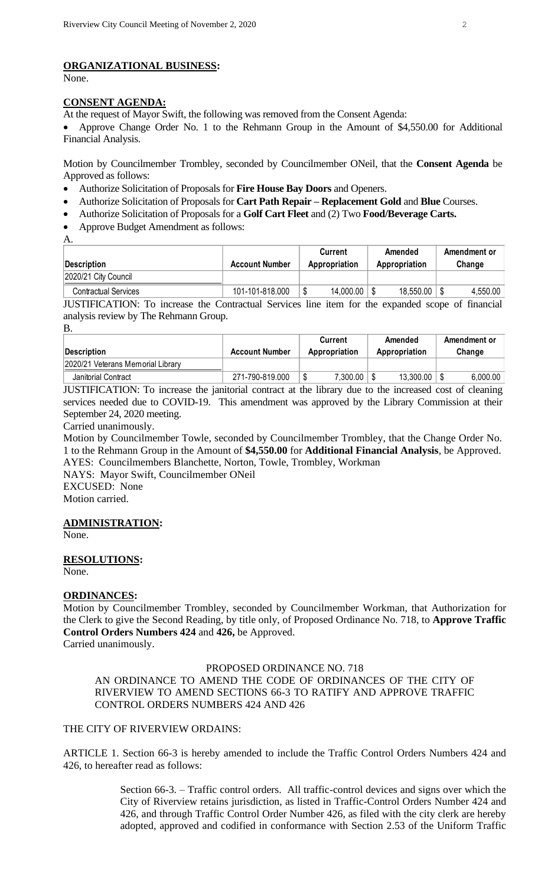## **ORGANIZATIONAL BUSINESS:**

None.

#### **CONSENT AGENDA:**

At the request of Mayor Swift, the following was removed from the Consent Agenda:

• Approve Change Order No. 1 to the Rehmann Group in the Amount of \$4,550.00 for Additional Financial Analysis.

Motion by Councilmember Trombley, seconded by Councilmember ONeil, that the **Consent Agenda** be Approved as follows:

- Authorize Solicitation of Proposals for **Fire House Bay Doors** and Openers.
- Authorize Solicitation of Proposals for **Cart Path Repair – Replacement Gold** and **Blue** Courses.
- Authorize Solicitation of Proposals for a **Golf Cart Fleet** and (2) Two **Food/Beverage Carts.**
- Approve Budget Amendment as follows:

A.

|                             |                       | <b>Current</b> | Amended       | Amendment or |
|-----------------------------|-----------------------|----------------|---------------|--------------|
| Description                 | <b>Account Number</b> | Appropriation  | Appropriation | Change       |
| 2020/21 City Council        |                       |                |               |              |
| <b>Contractual Services</b> | 101-101-818.000       | 14,000.00      | 18,550.00     | 4,550.00     |

JUSTIFICATION: To increase the Contractual Services line item for the expanded scope of financial analysis review by The Rehmann Group. B.

| Description                       | <b>Account Number</b> | Current<br>Appropriation | Amended<br>Appropriation | Amendment or<br>Change |
|-----------------------------------|-----------------------|--------------------------|--------------------------|------------------------|
| 2020/21 Veterans Memorial Library |                       |                          |                          |                        |
| Janitorial Contract               | 271-790-819.000       | 7,300.00<br>Œ            | 13,300.00                | 6,000.00               |

JUSTIFICATION: To increase the janitorial contract at the library due to the increased cost of cleaning services needed due to COVID-19. This amendment was approved by the Library Commission at their September 24, 2020 meeting.

Carried unanimously.

Motion by Councilmember Towle, seconded by Councilmember Trombley, that the Change Order No. 1 to the Rehmann Group in the Amount of **\$4,550.00** for **Additional Financial Analysis**, be Approved. AYES: Councilmembers Blanchette, Norton, Towle, Trombley, Workman

NAYS: Mayor Swift, Councilmember ONeil EXCUSED: None

Motion carried.

#### **ADMINISTRATION:**

None.

#### **RESOLUTIONS:**

None.

#### **ORDINANCES:**

Motion by Councilmember Trombley, seconded by Councilmember Workman, that Authorization for the Clerk to give the Second Reading, by title only, of Proposed Ordinance No. 718, to **Approve Traffic Control Orders Numbers 424** and **426,** be Approved. Carried unanimously.

PROPOSED ORDINANCE NO. 718

AN ORDINANCE TO AMEND THE CODE OF ORDINANCES OF THE CITY OF RIVERVIEW TO AMEND SECTIONS 66-3 TO RATIFY AND APPROVE TRAFFIC CONTROL ORDERS NUMBERS 424 AND 426

### THE CITY OF RIVERVIEW ORDAINS:

ARTICLE 1. Section 66-3 is hereby amended to include the Traffic Control Orders Numbers 424 and 426, to hereafter read as follows:

> Section 66-3. – Traffic control orders. All traffic-control devices and signs over which the City of Riverview retains jurisdiction, as listed in Traffic-Control Orders Number 424 and 426, and through Traffic Control Order Number 426, as filed with the city clerk are hereby adopted, approved and codified in conformance with Section 2.53 of the Uniform Traffic